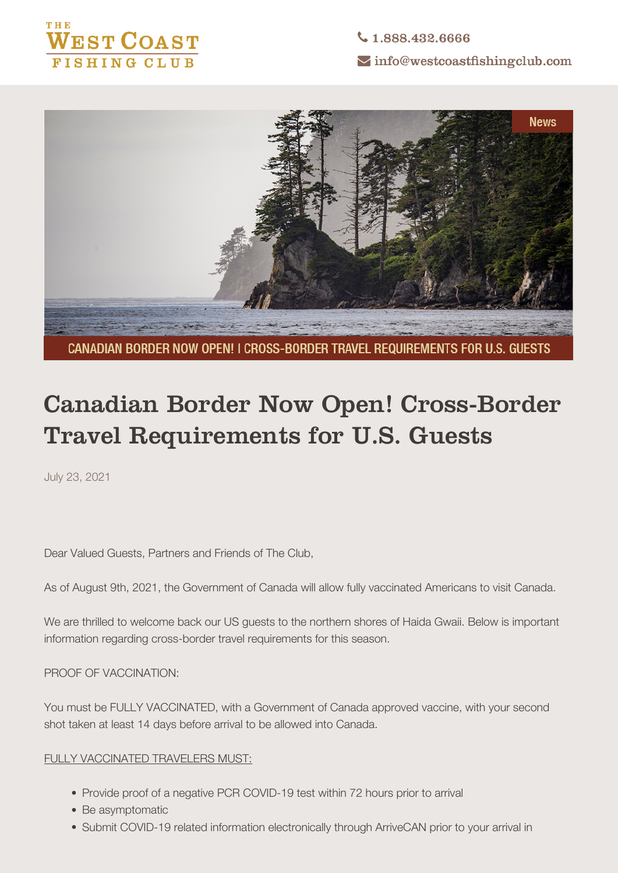



CANADIAN BORDER NOW OPEN! I CROSS-BORDER TRAVEL REQUIREMENTS FOR U.S. GUESTS

# **Canadian Border Now Open! Cross-Border Travel Requirements for U.S. Guests**

July 23, 2021

Dear Valued Guests, Partners and Friends of The Club,

**As of August 9th, 2021, the Government of Canada will allow fully vaccinated Americans to visit Canada.**

We are thrilled to welcome back our US guests to the northern shores of Haida Gwaii. Below is important information regarding cross-border travel requirements for this season.

**PROOF OF VACCINATION:**

You must be FULLY VACCINATED, with a Government of Canada approved vaccine, with your second shot taken at least 14 days before arrival to be allowed into Canada.

## FULLY VACCINATED TRAVELERS MUST:

- Provide proof of a negative PCR COVID-19 test within 72 hours prior to arrival
- Be asymptomatic
- Submit COVID-19 related information electronically through ArriveCAN prior to your arrival in